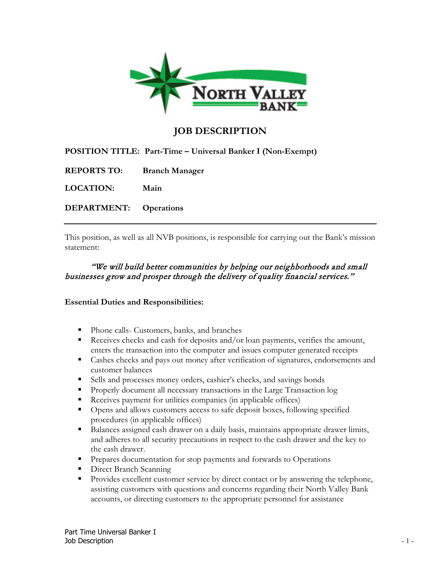

# **JOB DESCRIPTION**

**POSITION TITLE: Part-Time – Universal Banker I (Non-Exempt)**

**REPORTS TO: Branch Manager**

**LOCATION: Main** 

**DEPARTMENT: Operations**

This position, as well as all NVB positions, is responsible for carrying out the Bank's mission statement:

### "We will build better communities by helping our neighborhoods and small businesses grow and prosper through the delivery of quality financial services."

#### **Essential Duties and Responsibilities:**

- Phone calls- Customers, banks, and branches
- Receives checks and cash for deposits and/or loan payments, verifies the amount, enters the transaction into the computer and issues computer generated receipts
- Cashes checks and pays out money after verification of signatures, endorsements and customer balances
- Sells and processes money orders, cashier's checks, and savings bonds
- **Properly document all necessary transactions in the Large Transaction log**
- Receives payment for utilities companies (in applicable offices)
- Opens and allows customers access to safe deposit boxes, following specified procedures (in applicable offices)
- Balances assigned cash drawer on a daily basis, maintains appropriate drawer limits, and adheres to all security precautions in respect to the cash drawer and the key to the cash drawer.
- **Prepares documentation for stop payments and forwards to Operations**
- Direct Branch Scanning
- **Provides excellent customer service by direct contact or by answering the telephone,** assisting customers with questions and concerns regarding their North Valley Bank accounts, or directing customers to the appropriate personnel for assistance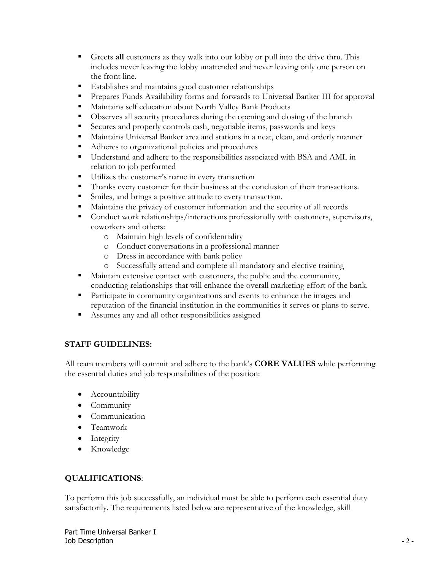- Greets **all** customers as they walk into our lobby or pull into the drive thru. This includes never leaving the lobby unattended and never leaving only one person on the front line.
- **Establishes and maintains good customer relationships**
- Prepares Funds Availability forms and forwards to Universal Banker III for approval
- Maintains self education about North Valley Bank Products
- Observes all security procedures during the opening and closing of the branch
- Secures and properly controls cash, negotiable items, passwords and keys
- Maintains Universal Banker area and stations in a neat, clean, and orderly manner
- Adheres to organizational policies and procedures
- Understand and adhere to the responsibilities associated with BSA and AML in relation to job performed
- Utilizes the customer's name in every transaction
- Thanks every customer for their business at the conclusion of their transactions.
- Smiles, and brings a positive attitude to every transaction.
- Maintains the privacy of customer information and the security of all records
- Conduct work relationships/interactions professionally with customers, supervisors, coworkers and others:
	- o Maintain high levels of confidentiality
	- o Conduct conversations in a professional manner
	- o Dress in accordance with bank policy
	- o Successfully attend and complete all mandatory and elective training
- Maintain extensive contact with customers, the public and the community, conducting relationships that will enhance the overall marketing effort of the bank.
- **Participate in community organizations and events to enhance the images and** reputation of the financial institution in the communities it serves or plans to serve.
- Assumes any and all other responsibilities assigned

## **STAFF GUIDELINES:**

All team members will commit and adhere to the bank's **CORE VALUES** while performing the essential duties and job responsibilities of the position:

- Accountability
- Community
- Communication
- Teamwork
- Integrity
- Knowledge

## **QUALIFICATIONS**:

To perform this job successfully, an individual must be able to perform each essential duty satisfactorily. The requirements listed below are representative of the knowledge, skill